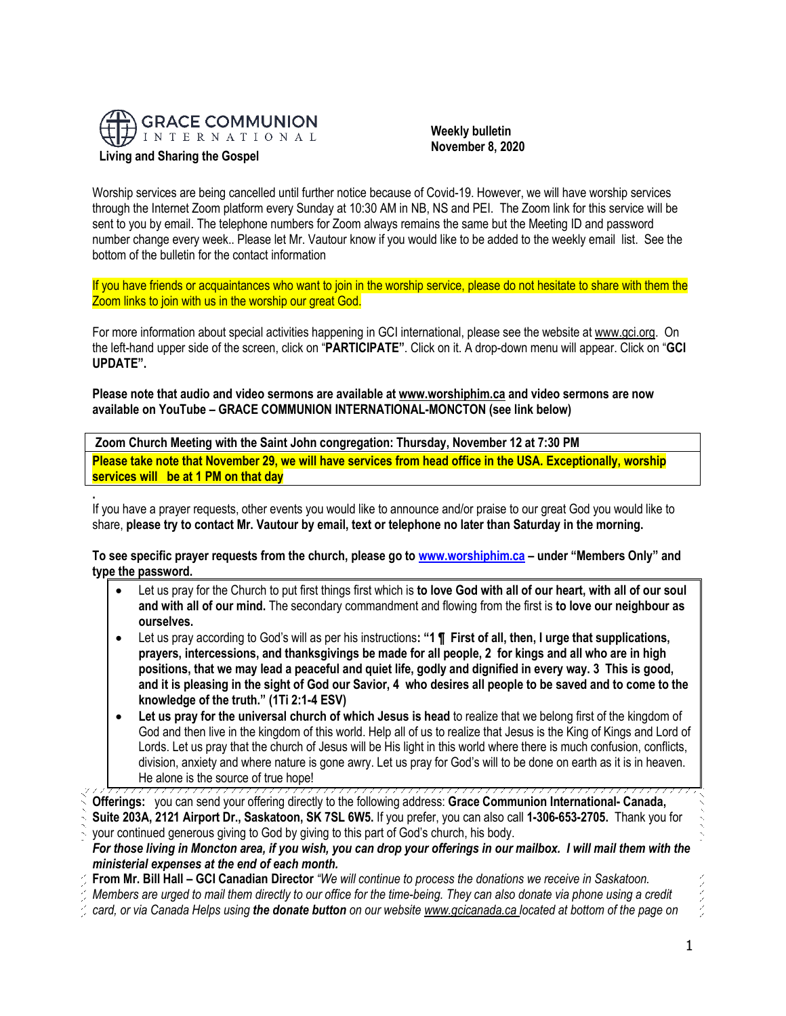

**.**

 **Weekly bulletin November 8, 2020**

Worship services are being cancelled until further notice because of Covid-19. However, we will have worship services through the Internet Zoom platform every Sunday at 10:30 AM in NB, NS and PEI. The Zoom link for this service will be sent to you by email. The telephone numbers for Zoom always remains the same but the Meeting ID and password number change every week.. Please let Mr. Vautour know if you would like to be added to the weekly email list. See the bottom of the bulletin for the contact information

If you have friends or acquaintances who want to join in the worship service, please do not hesitate to share with them the Zoom links to join with us in the worship our great God.

For more information about special activities happening in GCI international, please see the website a[t www.gci.org.](http://www.gci.org/) On the left-hand upper side of the screen, click on "**PARTICIPATE"**. Click on it. A drop-down menu will appear. Click on "**GCI UPDATE".**

**Please note that audio and video sermons are available at [www.worshiphim.ca](http://www.worshiphim.ca/) and video sermons are now available on YouTube – GRACE COMMUNION INTERNATIONAL-MONCTON (see link below)** 

**Zoom Church Meeting with the Saint John congregation: Thursday, November 12 at 7:30 PM Please take note that November 29, we will have services from head office in the USA. Exceptionally, worship services will be at 1 PM on that day**

If you have a prayer requests, other events you would like to announce and/or praise to our great God you would like to share, **please try to contact Mr. Vautour by email, text or telephone no later than Saturday in the morning.**

**To see specific prayer requests from the church, please go to [www.worshiphim.ca](http://www.worshiphim.ca/) – under "Members Only" and type the password.**

- Let us pray for the Church to put first things first which is **to love God with all of our heart, with all of our soul and with all of our mind.** The secondary commandment and flowing from the first is **to love our neighbour as ourselves.**
- Let us pray according to God's will as per his instructions**: "1 ¶ First of all, then, I urge that supplications, prayers, intercessions, and thanksgivings be made for all people, 2 for kings and all who are in high positions, that we may lead a peaceful and quiet life, godly and dignified in every way. 3 This is good, and it is pleasing in the sight of God our Savior, 4 who desires all people to be saved and to come to the knowledge of the truth." (1Ti 2:1-4 ESV)**
- **Let us pray for the universal church of which Jesus is head** to realize that we belong first of the kingdom of God and then live in the kingdom of this world. Help all of us to realize that Jesus is the King of Kings and Lord of Lords. Let us pray that the church of Jesus will be His light in this world where there is much confusion, conflicts, division, anxiety and where nature is gone awry. Let us pray for God's will to be done on earth as it is in heaven. He alone is the source of true hope!

**Offerings:** you can send your offering directly to the following address: **Grace Communion International- Canada,** 

- **Suite 203A, 2121 Airport Dr., Saskatoon, SK 7SL 6W5.** If you prefer, you can also call **1-306-653-2705.** Thank you for your continued generous giving to God by giving to this part of God's church, his body.
- *For those living in Moncton area, if you wish, you can drop your offerings in our mailbox. I will mail them with the ministerial expenses at the end of each month.*
- **From Mr. Bill Hall – GCI Canadian Director** *"We will continue to process the donations we receive in Saskatoon.*
- *Members are urged to mail them directly to our office for the time-being. They can also donate via phone using a credit*
- *card, or via Canada Helps using the donate button on our websit[e www.gcicanada.ca](https://eur03.safelinks.protection.outlook.com/?url=http%3A%2F%2Fwww.gcicanada.ca%2F&data=02%7C01%7C%7C9fd93e29c2b44509e5a008d7caa78fdb%7C84df9e7fe9f640afb435aaaaaaaaaaaa%7C1%7C0%7C637200693331983394&sdata=VAGy4Q%2BxbhHuYaeEiDz%2FQyicT%2FoiY4Ir9kc8w5yHRPs%3D&reserved=0) located at bottom of the page on*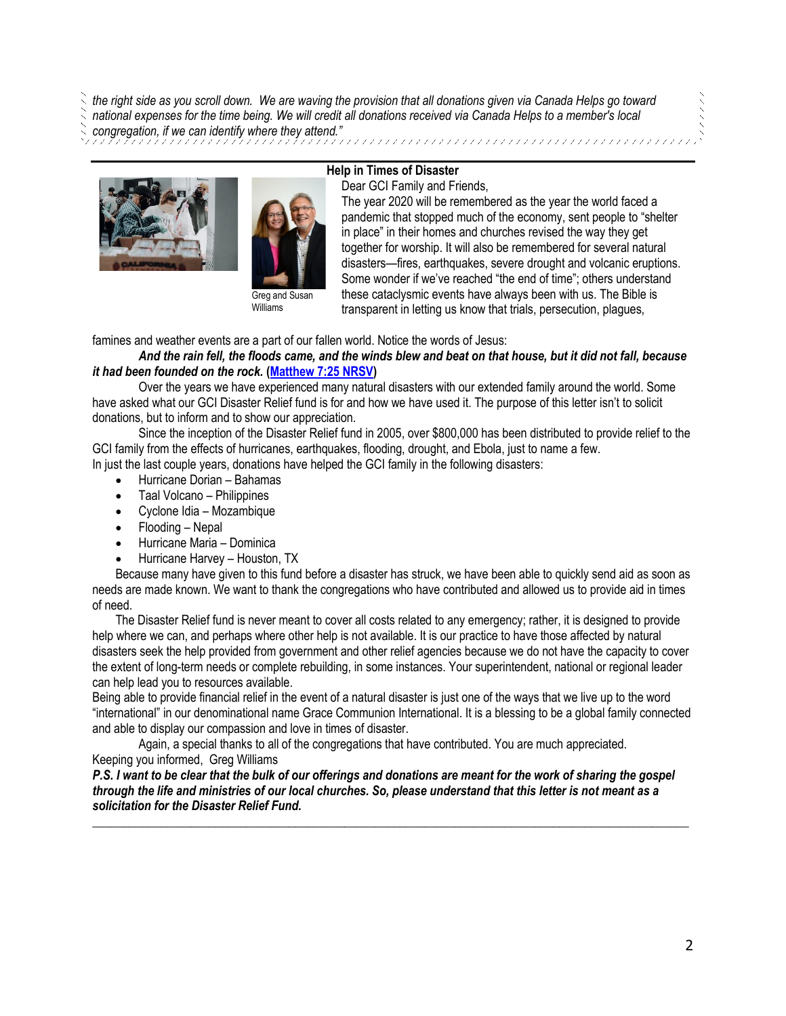*the right side as you scroll down. We are waving the provision that all donations given via Canada Helps go toward national expenses for the time being. We will credit all donations received via Canada Helps to a member's local*  required a separation, if we can identify where they attend."<br>congregation, if we can identify where they attend."





# **Help in Times of Disaster**

Dear GCI Family and Friends, The year 2020 will be remembered as the year the world faced a pandemic that stopped much of the economy, sent people to "shelter in place" in their homes and churches revised the way they get together for worship. It will also be remembered for several natural disasters—fires, earthquakes, severe drought and volcanic eruptions. Some wonder if we've reached "the end of time"; others understand these cataclysmic events have always been with us. The Bible is transparent in letting us know that trials, persecution, plagues,

famines and weather events are a part of our fallen world. Notice the words of Jesus:

### *And the rain fell, the floods came, and the winds blew and beat on that house, but it did not fall, because it had been founded on the rock.* **[\(Matthew 7:25 NRSV\)](https://biblia.com/bible/nrsv/Matt%207.25)**

Over the years we have experienced many natural disasters with our extended family around the world. Some have asked what our GCI Disaster Relief fund is for and how we have used it. The purpose of this letter isn't to solicit donations, but to inform and to show our appreciation.

Since the inception of the Disaster Relief fund in 2005, over \$800,000 has been distributed to provide relief to the GCI family from the effects of hurricanes, earthquakes, flooding, drought, and Ebola, just to name a few.

In just the last couple years, donations have helped the GCI family in the following disasters:

- Hurricane Dorian Bahamas
- Taal Volcano Philippines
- Cyclone Idia Mozambique
- Flooding Nepal
- Hurricane Maria Dominica
- Hurricane Harvey Houston, TX

Because many have given to this fund before a disaster has struck, we have been able to quickly send aid as soon as needs are made known. We want to thank the congregations who have contributed and allowed us to provide aid in times of need.

The Disaster Relief fund is never meant to cover all costs related to any emergency; rather, it is designed to provide help where we can, and perhaps where other help is not available. It is our practice to have those affected by natural disasters seek the help provided from government and other relief agencies because we do not have the capacity to cover the extent of long-term needs or complete rebuilding, in some instances. Your superintendent, national or regional leader can help lead you to resources available.

Being able to provide financial relief in the event of a natural disaster is just one of the ways that we live up to the word "international" in our denominational name Grace Communion International. It is a blessing to be a global family connected and able to display our compassion and love in times of disaster.

Again, a special thanks to all of the congregations that have contributed. You are much appreciated. Keeping you informed, Greg Williams

*P.S. I want to be clear that the bulk of our offerings and donations are meant for the work of sharing the gospel through the life and ministries of our local churches. So, please understand that this letter is not meant as a solicitation for the Disaster Relief Fund. \_\_\_\_\_\_\_\_\_\_\_\_\_\_\_\_\_\_\_\_\_\_\_\_\_\_\_\_\_\_\_\_\_\_\_\_\_\_\_\_\_\_\_\_\_\_\_\_\_\_\_\_\_\_\_\_\_\_\_\_\_\_\_\_\_\_\_\_\_\_\_\_\_\_\_\_\_\_\_\_\_\_\_\_\_\_\_\_\_\_\_\_\_\_\_\_\_*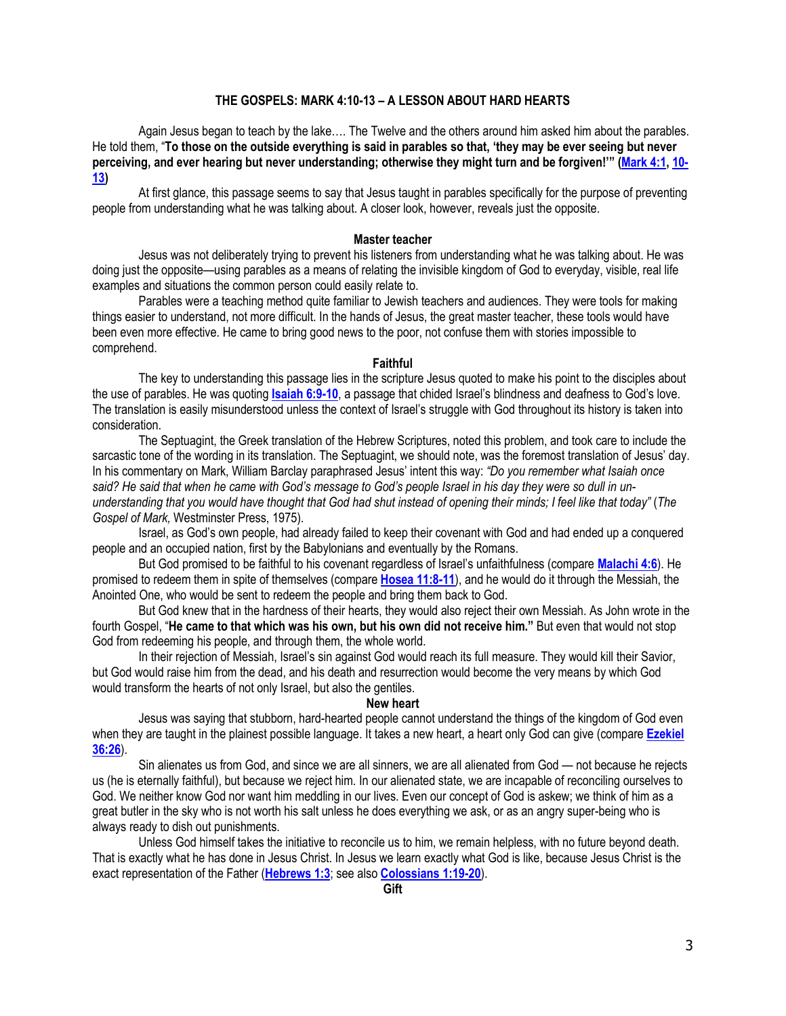## **THE GOSPELS: MARK 4:10-13 – A LESSON ABOUT HARD HEARTS**

Again Jesus began to teach by the lake…. The Twelve and the others around him asked him about the parables. He told them, "**To those on the outside everything is said in parables so that, 'they may be ever seeing but never perceiving, and ever hearing but never understanding; otherwise they might turn and be forgiven!'" [\(Mark 4:1,](https://biblia.com/bible/niv/Mark%204.1) [10-](https://biblia.com/bible/niv/Mark%204.10-13) [13\)](https://biblia.com/bible/niv/Mark%204.10-13)**

At first glance, this passage seems to say that Jesus taught in parables specifically for the purpose of preventing people from understanding what he was talking about. A closer look, however, reveals just the opposite.

#### **Master teacher**

Jesus was not deliberately trying to prevent his listeners from understanding what he was talking about. He was doing just the opposite—using parables as a means of relating the invisible kingdom of God to everyday, visible, real life examples and situations the common person could easily relate to.

Parables were a teaching method quite familiar to Jewish teachers and audiences. They were tools for making things easier to understand, not more difficult. In the hands of Jesus, the great master teacher, these tools would have been even more effective. He came to bring good news to the poor, not confuse them with stories impossible to comprehend.

#### **Faithful**

The key to understanding this passage lies in the scripture Jesus quoted to make his point to the disciples about the use of parables. He was quoting **[Isaiah 6:9-10](https://biblia.com/bible/niv/Isa%206.9-10)**, a passage that chided Israel's blindness and deafness to God's love. The translation is easily misunderstood unless the context of Israel's struggle with God throughout its history is taken into consideration.

The Septuagint, the Greek translation of the Hebrew Scriptures, noted this problem, and took care to include the sarcastic tone of the wording in its translation. The Septuagint, we should note, was the foremost translation of Jesus' day. In his commentary on Mark, William Barclay paraphrased Jesus' intent this way: *"Do you remember what Isaiah once said? He said that when he came with God's message to God's people Israel in his day they were so dull in ununderstanding that you would have thought that God had shut instead of opening their minds; I feel like that today"* (*The Gospel of Mark,* Westminster Press, 1975).

Israel, as God's own people, had already failed to keep their covenant with God and had ended up a conquered people and an occupied nation, first by the Babylonians and eventually by the Romans.

But God promised to be faithful to his covenant regardless of Israel's unfaithfulness (compare **[Malachi 4:6](https://biblia.com/bible/niv/Mal%204.6)**). He promised to redeem them in spite of themselves (compare **[Hosea 11:8-11](https://biblia.com/bible/niv/Hos%2011.8-11)**), and he would do it through the Messiah, the Anointed One, who would be sent to redeem the people and bring them back to God.

But God knew that in the hardness of their hearts, they would also reject their own Messiah. As John wrote in the fourth Gospel, "**He came to that which was his own, but his own did not receive him."** But even that would not stop God from redeeming his people, and through them, the whole world.

In their rejection of Messiah, Israel's sin against God would reach its full measure. They would kill their Savior, but God would raise him from the dead, and his death and resurrection would become the very means by which God would transform the hearts of not only Israel, but also the gentiles.

#### **New heart**

Jesus was saying that stubborn, hard-hearted people cannot understand the things of the kingdom of God even when they are taught in the plainest possible language. It takes a new heart, a heart only God can give (compare **[Ezekiel](https://biblia.com/bible/niv/Ezek%2036.26)  [36:26](https://biblia.com/bible/niv/Ezek%2036.26)**).

Sin alienates us from God, and since we are all sinners, we are all alienated from God — not because he rejects us (he is eternally faithful), but because we reject him. In our alienated state, we are incapable of reconciling ourselves to God. We neither know God nor want him meddling in our lives. Even our concept of God is askew; we think of him as a great butler in the sky who is not worth his salt unless he does everything we ask, or as an angry super-being who is always ready to dish out punishments.

Unless God himself takes the initiative to reconcile us to him, we remain helpless, with no future beyond death. That is exactly what he has done in Jesus Christ. In Jesus we learn exactly what God is like, because Jesus Christ is the exact representation of the Father (**[Hebrews 1:3](https://biblia.com/bible/niv/Heb%201.3)**; see also **[Colossians 1:19-20](https://biblia.com/bible/niv/Col%201.19-20)**).